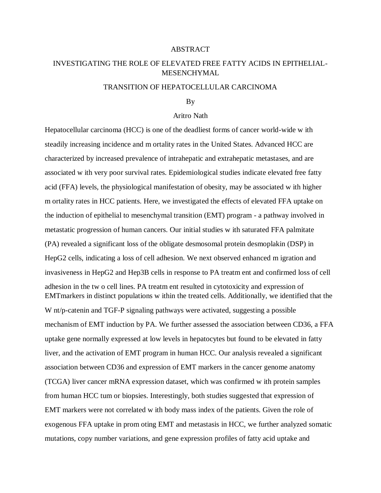## ABSTRACT

# INVESTIGATING THE ROLE OF ELEVATED FREE FATTY ACIDS IN EPITHELIAL-MESENCHYMAL

## TRANSITION OF HEPATOCELLULAR CARCINOMA

#### By

### Aritro Nath

Hepatocellular carcinoma (HCC) is one of the deadliest forms of cancer world-wide w ith steadily increasing incidence and m ortality rates in the United States. Advanced HCC are characterized by increased prevalence of intrahepatic and extrahepatic metastases, and are associated w ith very poor survival rates. Epidemiological studies indicate elevated free fatty acid (FFA) levels, the physiological manifestation of obesity, may be associated w ith higher m ortality rates in HCC patients. Here, we investigated the effects of elevated FFA uptake on the induction of epithelial to mesenchymal transition (EMT) program - a pathway involved in metastatic progression of human cancers. Our initial studies w ith saturated FFA palmitate (PA) revealed a significant loss of the obligate desmosomal protein desmoplakin (DSP) in HepG2 cells, indicating a loss of cell adhesion. We next observed enhanced m igration and invasiveness in HepG2 and Hep3B cells in response to PA treatm ent and confirmed loss of cell adhesion in the tw o cell lines. PA treatm ent resulted in cytotoxicity and expression of EMTmarkers in distinct populations w ithin the treated cells. Additionally, we identified that the W nt/p-catenin and TGF-P signaling pathways were activated, suggesting a possible mechanism of EMT induction by PA. We further assessed the association between CD36, a FFA uptake gene normally expressed at low levels in hepatocytes but found to be elevated in fatty liver, and the activation of EMT program in human HCC. Our analysis revealed a significant association between CD36 and expression of EMT markers in the cancer genome anatomy (TCGA) liver cancer mRNA expression dataset, which was confirmed w ith protein samples from human HCC tum or biopsies. Interestingly, both studies suggested that expression of EMT markers were not correlated w ith body mass index of the patients. Given the role of exogenous FFA uptake in prom oting EMT and metastasis in HCC, we further analyzed somatic mutations, copy number variations, and gene expression profiles of fatty acid uptake and